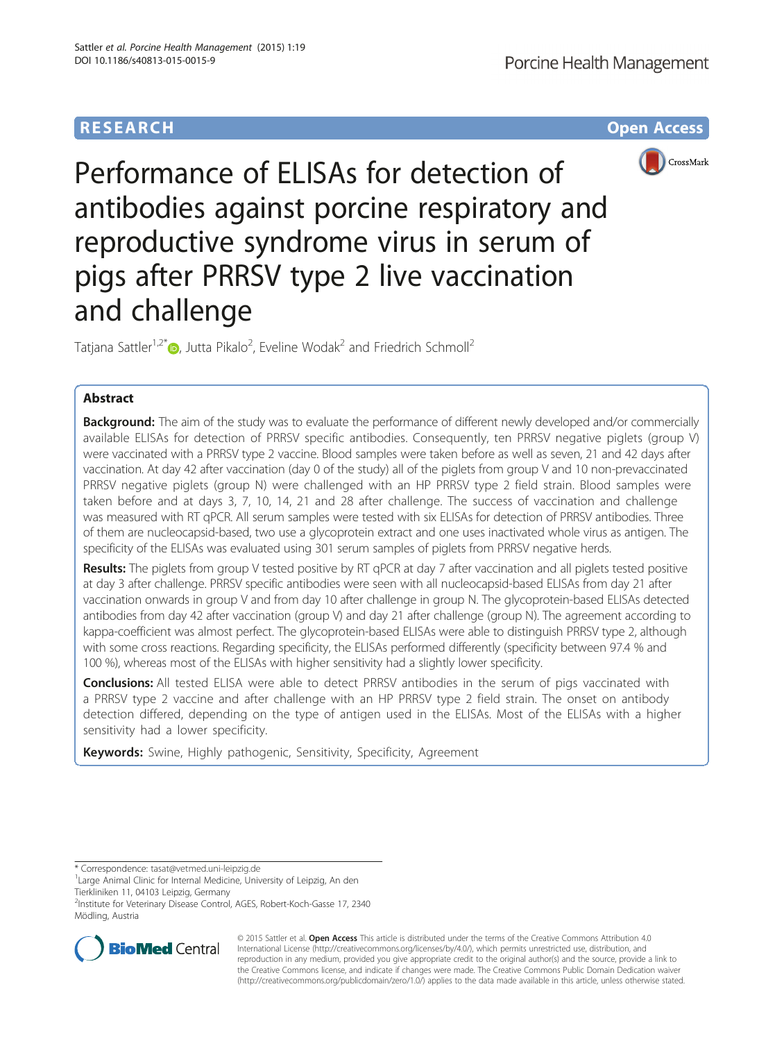

Performance of ELISAs for detection of antibodies against porcine respiratory and reproductive syndrome virus in serum of pigs after PRRSV type 2 live vaccination and challenge

Tatjana Sattler<sup>1,2[\\*](http://orcid.org/0000-0001-8946-6699)</sup> $\textcolor{blue}{\bullet}$ , Jutta Pikalo<sup>2</sup>, Eveline Wodak<sup>2</sup> and Friedrich Schmoll<sup>2</sup>

# Abstract

Background: The aim of the study was to evaluate the performance of different newly developed and/or commercially available ELISAs for detection of PRRSV specific antibodies. Consequently, ten PRRSV negative piglets (group V) were vaccinated with a PRRSV type 2 vaccine. Blood samples were taken before as well as seven, 21 and 42 days after vaccination. At day 42 after vaccination (day 0 of the study) all of the piglets from group V and 10 non-prevaccinated PRRSV negative piglets (group N) were challenged with an HP PRRSV type 2 field strain. Blood samples were taken before and at days 3, 7, 10, 14, 21 and 28 after challenge. The success of vaccination and challenge was measured with RT qPCR. All serum samples were tested with six ELISAs for detection of PRRSV antibodies. Three of them are nucleocapsid-based, two use a glycoprotein extract and one uses inactivated whole virus as antigen. The specificity of the ELISAs was evaluated using 301 serum samples of piglets from PRRSV negative herds.

Results: The piglets from group V tested positive by RT qPCR at day 7 after vaccination and all piglets tested positive at day 3 after challenge. PRRSV specific antibodies were seen with all nucleocapsid-based ELISAs from day 21 after vaccination onwards in group V and from day 10 after challenge in group N. The glycoprotein-based ELISAs detected antibodies from day 42 after vaccination (group V) and day 21 after challenge (group N). The agreement according to kappa-coefficient was almost perfect. The glycoprotein-based ELISAs were able to distinguish PRRSV type 2, although with some cross reactions. Regarding specificity, the ELISAs performed differently (specificity between 97.4 % and 100 %), whereas most of the ELISAs with higher sensitivity had a slightly lower specificity.

**Conclusions:** All tested ELISA were able to detect PRRSV antibodies in the serum of pigs vaccinated with a PRRSV type 2 vaccine and after challenge with an HP PRRSV type 2 field strain. The onset on antibody detection differed, depending on the type of antigen used in the ELISAs. Most of the ELISAs with a higher sensitivity had a lower specificity.

Keywords: Swine, Highly pathogenic, Sensitivity, Specificity, Agreement

\* Correspondence: [tasat@vetmed.uni-leipzig.de](mailto:tasat@vetmed.uni-leipzig.de) <sup>1</sup>

2 Institute for Veterinary Disease Control, AGES, Robert-Koch-Gasse 17, 2340 Mödling, Austria



© 2015 Sattler et al. Open Access This article is distributed under the terms of the Creative Commons Attribution 4.0 International License [\(http://creativecommons.org/licenses/by/4.0/](http://creativecommons.org/licenses/by/4.0/)), which permits unrestricted use, distribution, and reproduction in any medium, provided you give appropriate credit to the original author(s) and the source, provide a link to the Creative Commons license, and indicate if changes were made. The Creative Commons Public Domain Dedication waiver [\(http://creativecommons.org/publicdomain/zero/1.0/](http://creativecommons.org/publicdomain/zero/1.0/)) applies to the data made available in this article, unless otherwise stated.

<sup>&</sup>lt;sup>1</sup> Large Animal Clinic for Internal Medicine, University of Leipzig, An den Tierkliniken 11, 04103 Leipzig, Germany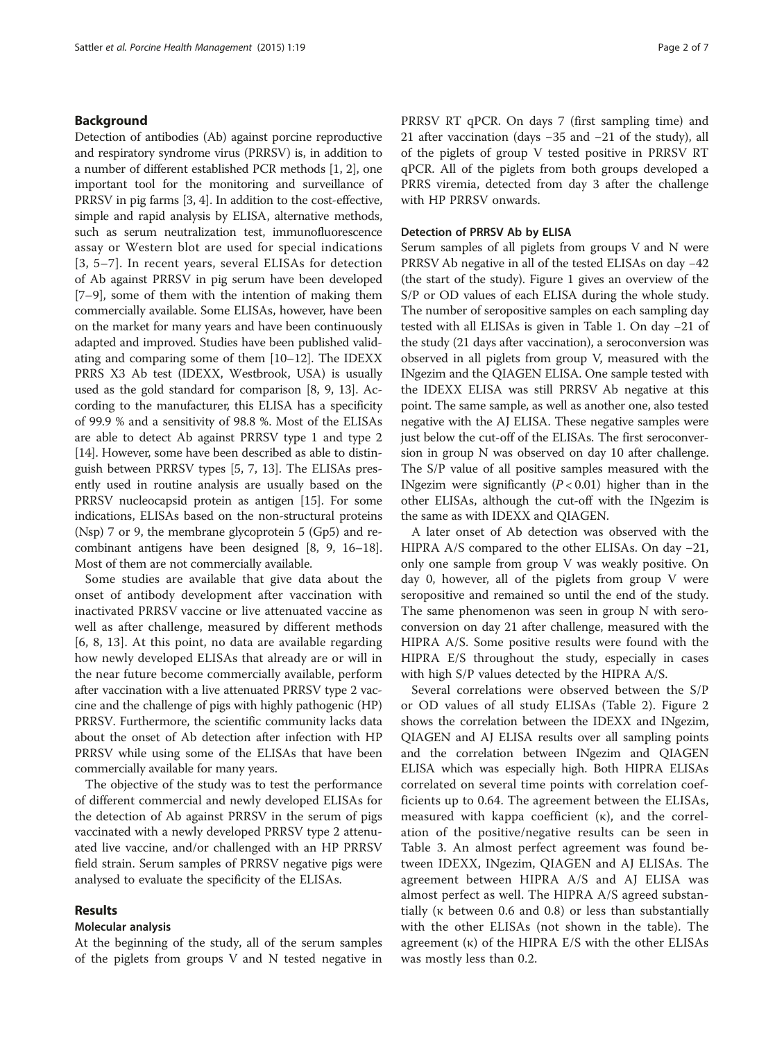# Background

Detection of antibodies (Ab) against porcine reproductive and respiratory syndrome virus (PRRSV) is, in addition to a number of different established PCR methods [\[1](#page-6-0), [2\]](#page-6-0), one important tool for the monitoring and surveillance of PRRSV in pig farms [[3, 4](#page-6-0)]. In addition to the cost-effective, simple and rapid analysis by ELISA, alternative methods, such as serum neutralization test, immunofluorescence assay or Western blot are used for special indications [[3](#page-6-0), [5](#page-6-0)–[7](#page-6-0)]. In recent years, several ELISAs for detection of Ab against PRRSV in pig serum have been developed [[7](#page-6-0)–[9](#page-6-0)], some of them with the intention of making them commercially available. Some ELISAs, however, have been on the market for many years and have been continuously adapted and improved. Studies have been published validating and comparing some of them [\[10](#page-6-0)–[12](#page-6-0)]. The IDEXX PRRS X3 Ab test (IDEXX, Westbrook, USA) is usually used as the gold standard for comparison [[8, 9](#page-6-0), [13](#page-6-0)]. According to the manufacturer, this ELISA has a specificity of 99.9 % and a sensitivity of 98.8 %. Most of the ELISAs are able to detect Ab against PRRSV type 1 and type 2 [[14](#page-6-0)]. However, some have been described as able to distinguish between PRRSV types [\[5, 7](#page-6-0), [13\]](#page-6-0). The ELISAs presently used in routine analysis are usually based on the PRRSV nucleocapsid protein as antigen [\[15\]](#page-6-0). For some indications, ELISAs based on the non-structural proteins (Nsp) 7 or 9, the membrane glycoprotein 5 (Gp5) and recombinant antigens have been designed [\[8](#page-6-0), [9, 16](#page-6-0)–[18](#page-6-0)]. Most of them are not commercially available.

Some studies are available that give data about the onset of antibody development after vaccination with inactivated PRRSV vaccine or live attenuated vaccine as well as after challenge, measured by different methods [[6, 8, 13](#page-6-0)]. At this point, no data are available regarding how newly developed ELISAs that already are or will in the near future become commercially available, perform after vaccination with a live attenuated PRRSV type 2 vaccine and the challenge of pigs with highly pathogenic (HP) PRRSV. Furthermore, the scientific community lacks data about the onset of Ab detection after infection with HP PRRSV while using some of the ELISAs that have been commercially available for many years.

The objective of the study was to test the performance of different commercial and newly developed ELISAs for the detection of Ab against PRRSV in the serum of pigs vaccinated with a newly developed PRRSV type 2 attenuated live vaccine, and/or challenged with an HP PRRSV field strain. Serum samples of PRRSV negative pigs were analysed to evaluate the specificity of the ELISAs.

#### Results

# Molecular analysis

At the beginning of the study, all of the serum samples of the piglets from groups V and N tested negative in PRRSV RT qPCR. On days 7 (first sampling time) and 21 after vaccination (days −35 and −21 of the study), all of the piglets of group V tested positive in PRRSV RT qPCR. All of the piglets from both groups developed a PRRS viremia, detected from day 3 after the challenge with HP PRRSV onwards.

#### Detection of PRRSV Ab by ELISA

Serum samples of all piglets from groups V and N were PRRSV Ab negative in all of the tested ELISAs on day −42 (the start of the study). Figure [1](#page-2-0) gives an overview of the S/P or OD values of each ELISA during the whole study. The number of seropositive samples on each sampling day tested with all ELISAs is given in Table [1](#page-2-0). On day −21 of the study (21 days after vaccination), a seroconversion was observed in all piglets from group V, measured with the INgezim and the QIAGEN ELISA. One sample tested with the IDEXX ELISA was still PRRSV Ab negative at this point. The same sample, as well as another one, also tested negative with the AJ ELISA. These negative samples were just below the cut-off of the ELISAs. The first seroconversion in group N was observed on day 10 after challenge. The S/P value of all positive samples measured with the INgezim were significantly  $(P < 0.01)$  higher than in the other ELISAs, although the cut-off with the INgezim is the same as with IDEXX and QIAGEN.

A later onset of Ab detection was observed with the HIPRA A/S compared to the other ELISAs. On day −21, only one sample from group V was weakly positive. On day 0, however, all of the piglets from group V were seropositive and remained so until the end of the study. The same phenomenon was seen in group N with seroconversion on day 21 after challenge, measured with the HIPRA A/S. Some positive results were found with the HIPRA E/S throughout the study, especially in cases with high S/P values detected by the HIPRA A/S.

Several correlations were observed between the S/P or OD values of all study ELISAs (Table [2\)](#page-3-0). Figure [2](#page-3-0) shows the correlation between the IDEXX and INgezim, QIAGEN and AJ ELISA results over all sampling points and the correlation between INgezim and QIAGEN ELISA which was especially high. Both HIPRA ELISAs correlated on several time points with correlation coefficients up to 0.64. The agreement between the ELISAs, measured with kappa coefficient (κ), and the correlation of the positive/negative results can be seen in Table [3](#page-4-0). An almost perfect agreement was found between IDEXX, INgezim, QIAGEN and AJ ELISAs. The agreement between HIPRA A/S and AJ ELISA was almost perfect as well. The HIPRA A/S agreed substantially (κ between 0.6 and 0.8) or less than substantially with the other ELISAs (not shown in the table). The agreement (κ) of the HIPRA E/S with the other ELISAs was mostly less than 0.2.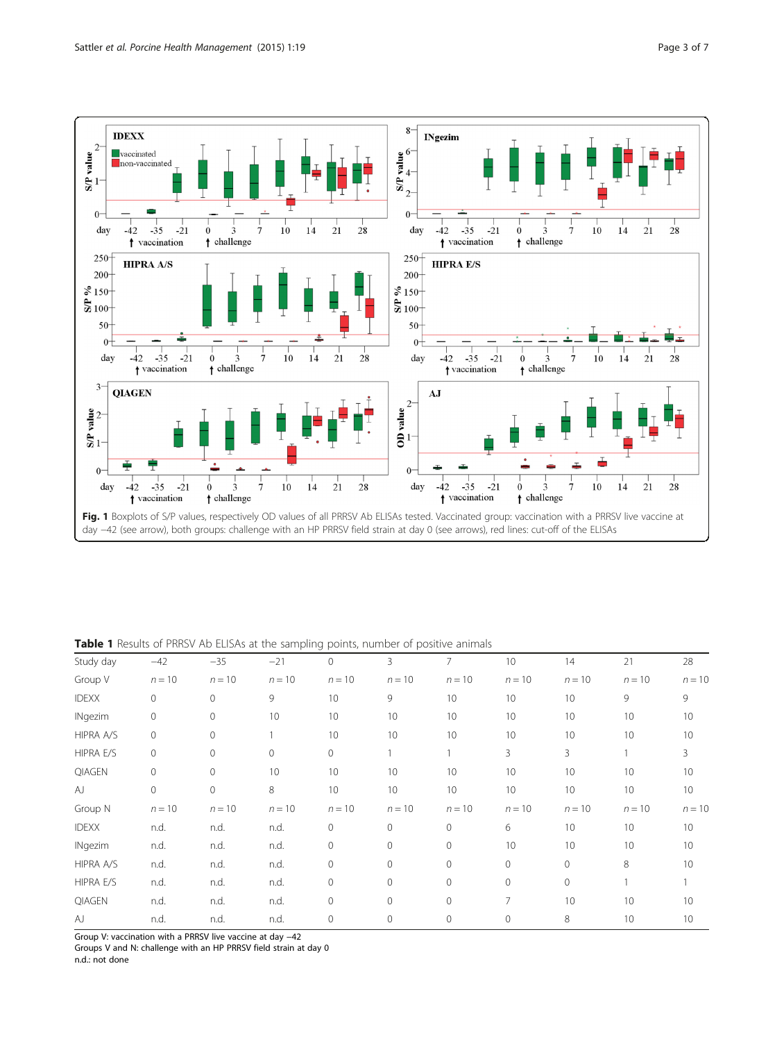<span id="page-2-0"></span>

Fig. 1 Boxplots of S/P values, respectively OD values of all PRRSV Ab ELISAs tested. Vaccinated group: vaccination with a PRRSV live vaccine at day −42 (see arrow), both groups: challenge with an HP PRRSV field strain at day 0 (see arrows), red lines: cut-off of the ELISAs

# Table 1 Results of PRRSV Ab ELISAs at the sampling points, number of positive animals

| Study day        | $-42$        | $-35$        | $-21$    | $\overline{0}$ | 3           | 7              | 10       | 14           | 21       | 28       |
|------------------|--------------|--------------|----------|----------------|-------------|----------------|----------|--------------|----------|----------|
| Group V          | $n = 10$     | $n = 10$     | $n = 10$ | $n = 10$       | $n = 10$    | $n = 10$       | $n = 10$ | $n = 10$     | $n = 10$ | $n = 10$ |
| <b>IDEXX</b>     | $\mathbf{0}$ | $\mathbf{0}$ | 9        | 10             | 9           | 10             | 10       | 10           | 9        | 9        |
| <b>INgezim</b>   | 0            | $\circ$      | 10       | 10             | 10          | 10             | 10       | 10           | 10       | 10       |
| HIPRA A/S        | $\mathbf{0}$ | $\circ$      |          | 10             | 10          | 10             | 10       | 10           | 10       | 10       |
| <b>HIPRA E/S</b> | $\mathbf{0}$ | $\mathbf 0$  | $\circ$  | $\circ$        |             |                | 3        | 3            |          | 3        |
| QIAGEN           | $\Omega$     | $\mathbf{0}$ | 10       | 10             | 10          | 10             | 10       | 10           | 10       | 10       |
| AJ               | $\mathbf{0}$ | $\mathbf 0$  | 8        | 10             | 10          | 10             | 10       | 10           | 10       | 10       |
| Group N          | $n = 10$     | $n = 10$     | $n = 10$ | $n = 10$       | $n = 10$    | $n = 10$       | $n = 10$ | $n = 10$     | $n = 10$ | $n = 10$ |
| <b>IDEXX</b>     | n.d.         | n.d.         | n.d.     | $\circ$        | $\circ$     | 0              | 6        | 10           | 10       | 10       |
| <b>INgezim</b>   | n.d.         | n.d.         | n.d.     | $\mathbf 0$    | $\circ$     | $\overline{0}$ | 10       | 10           | 10       | 10       |
| HIPRA A/S        | n.d.         | n.d.         | n.d.     | $\circ$        | $\Omega$    | $\circ$        | $\circ$  | $\mathbf{0}$ | 8        | 10       |
| <b>HIPRA E/S</b> | n.d.         | n.d.         | n.d.     | $\mathbf 0$    | $\circ$     | $\circ$        | $\Omega$ | $\mathbf{0}$ |          |          |
| <b>QIAGEN</b>    | n.d.         | n.d.         | n.d.     | $\mathbf 0$    | 0           | $\circ$        | 7        | 10           | 10       | 10       |
| AJ               | n.d.         | n.d.         | n.d.     | $\mathbf 0$    | $\mathbf 0$ | $\circ$        | $\circ$  | 8            | 10       | 10       |

Group V: vaccination with a PRRSV live vaccine at day −42

Groups V and N: challenge with an HP PRRSV field strain at day 0

n.d.: not done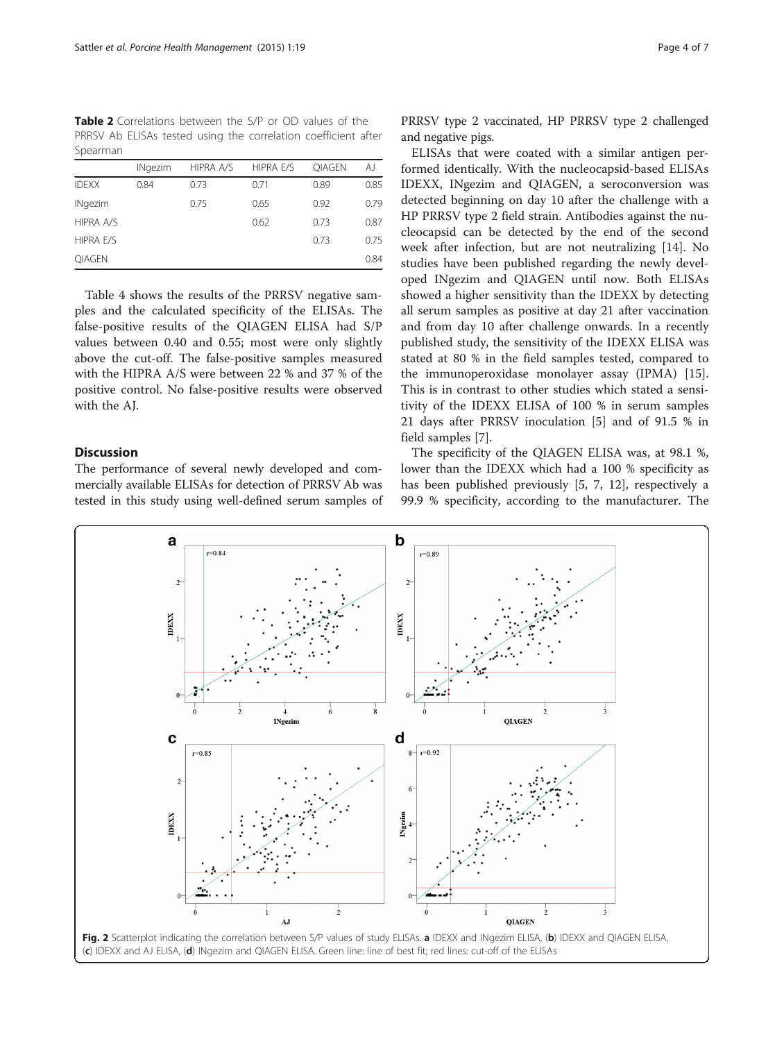<span id="page-3-0"></span>Table 2 Correlations between the S/P or OD values of the PRRSV Ab ELISAs tested using the correlation coefficient after Spearman

|                  | <b>INgezim</b> | HIPRA A/S | HIPRA E/S | <b>OIAGEN</b> | AJ   |
|------------------|----------------|-----------|-----------|---------------|------|
| <b>IDEXX</b>     | 0.84           | 0.73      | 0.71      | 0.89          | 0.85 |
| <b>INgezim</b>   |                | 0.75      | 0.65      | 0.92          | 0.79 |
| <b>HIPRA A/S</b> |                |           | 0.62      | 0.73          | 0.87 |
| <b>HIPRA E/S</b> |                |           |           | 0.73          | 0.75 |
| <b>OIAGEN</b>    |                |           |           |               | 0.84 |

Table [4](#page-4-0) shows the results of the PRRSV negative samples and the calculated specificity of the ELISAs. The false-positive results of the QIAGEN ELISA had S/P values between 0.40 and 0.55; most were only slightly above the cut-off. The false-positive samples measured with the HIPRA A/S were between 22 % and 37 % of the positive control. No false-positive results were observed with the AJ.

# **Discussion**

The performance of several newly developed and commercially available ELISAs for detection of PRRSV Ab was tested in this study using well-defined serum samples of

ELISAs that were coated with a similar antigen performed identically. With the nucleocapsid-based ELISAs IDEXX, INgezim and QIAGEN, a seroconversion was detected beginning on day 10 after the challenge with a HP PRRSV type 2 field strain. Antibodies against the nucleocapsid can be detected by the end of the second week after infection, but are not neutralizing [\[14\]](#page-6-0). No studies have been published regarding the newly developed INgezim and QIAGEN until now. Both ELISAs showed a higher sensitivity than the IDEXX by detecting all serum samples as positive at day 21 after vaccination and from day 10 after challenge onwards. In a recently published study, the sensitivity of the IDEXX ELISA was stated at 80 % in the field samples tested, compared to the immunoperoxidase monolayer assay (IPMA) [\[15](#page-6-0)]. This is in contrast to other studies which stated a sensitivity of the IDEXX ELISA of 100 % in serum samples 21 days after PRRSV inoculation [[5\]](#page-6-0) and of 91.5 % in field samples [[7\]](#page-6-0).

The specificity of the QIAGEN ELISA was, at 98.1 %, lower than the IDEXX which had a 100 % specificity as has been published previously [[5, 7, 12](#page-6-0)], respectively a 99.9 % specificity, according to the manufacturer. The

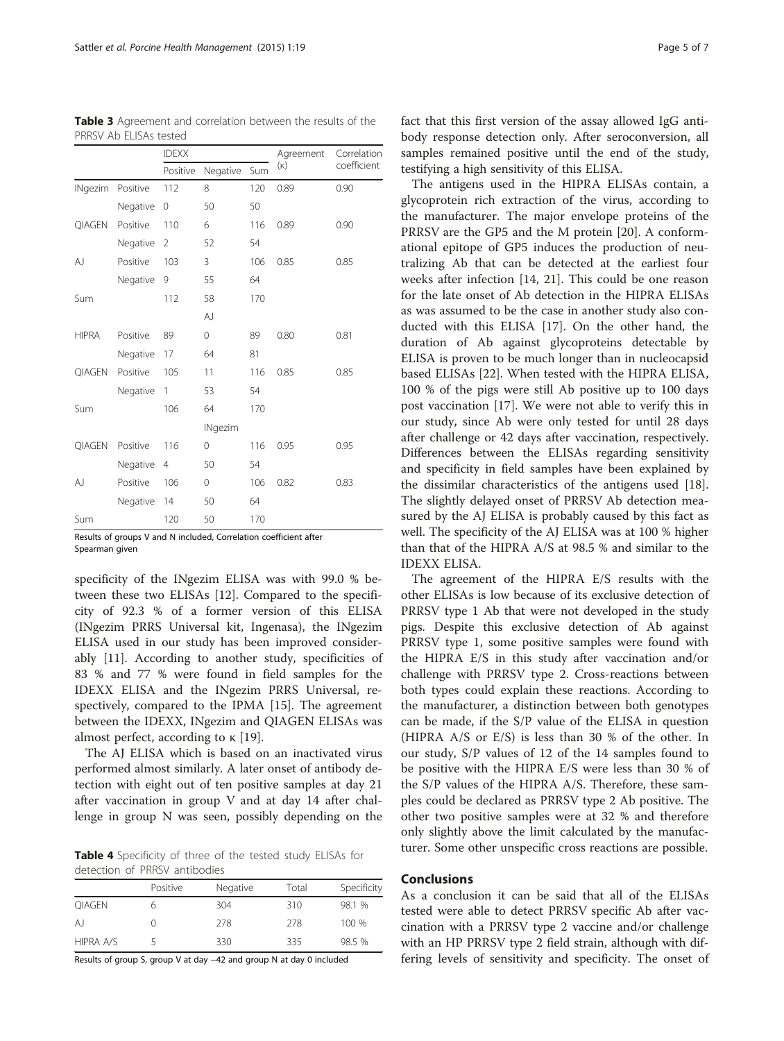|                |          | <b>IDEXX</b>   |                |     | Agreement  | Correlation |  |
|----------------|----------|----------------|----------------|-----|------------|-------------|--|
|                |          | Positive       | Negative       | Sum | $(\kappa)$ | coefficient |  |
| <b>INgezim</b> | Positive | 112            | 8              | 120 | 0.89       | 0.90        |  |
|                | Negative | $\mathbf 0$    | 50             | 50  |            |             |  |
| QIAGEN         | Positive | 110            | 6              | 116 | 0.89       | 0.90        |  |
|                | Negative | 2              | 52             | 54  |            |             |  |
| AJ             | Positive | 103            | 3              | 106 | 0.85       | 0.85        |  |
|                | Negative | 9              | 55             | 64  |            |             |  |
| Sum            |          | 112            | 58             | 170 |            |             |  |
|                |          |                | AJ             |     |            |             |  |
| <b>HIPRA</b>   | Positive | 89             | $\mathbf 0$    | 89  | 0.80       | 0.81        |  |
|                | Negative | 17             | 64             | 81  |            |             |  |
| QIAGEN         | Positive | 105            | 11             | 116 | 0.85       | 0.85        |  |
|                | Negative | 1              | 53             | 54  |            |             |  |
| Sum            |          | 106            | 64             | 170 |            |             |  |
|                |          |                | <b>INgezim</b> |     |            |             |  |
| <b>QIAGEN</b>  | Positive | 116            | 0              | 116 | 0.95       | 0.95        |  |
|                | Negative | $\overline{4}$ | 50             | 54  |            |             |  |
| AJ             | Positive | 106            | $\mathbf 0$    | 106 | 0.82       | 0.83        |  |
|                | Negative | 14             | 50             | 64  |            |             |  |
| Sum            |          | 120            | 50             | 170 |            |             |  |

<span id="page-4-0"></span>Table 3 Agreement and correlation between the results of the PRRSV Ab ELISAs tested

Results of groups V and N included, Correlation coefficient after Spearman given

specificity of the INgezim ELISA was with 99.0 % between these two ELISAs [\[12](#page-6-0)]. Compared to the specificity of 92.3 % of a former version of this ELISA (INgezim PRRS Universal kit, Ingenasa), the INgezim ELISA used in our study has been improved considerably [[11\]](#page-6-0). According to another study, specificities of 83 % and 77 % were found in field samples for the IDEXX ELISA and the INgezim PRRS Universal, respectively, compared to the IPMA [\[15](#page-6-0)]. The agreement between the IDEXX, INgezim and QIAGEN ELISAs was almost perfect, according to κ [\[19](#page-6-0)].

The AJ ELISA which is based on an inactivated virus performed almost similarly. A later onset of antibody detection with eight out of ten positive samples at day 21 after vaccination in group V and at day 14 after challenge in group N was seen, possibly depending on the

Table 4 Specificity of three of the tested study ELISAs for detection of PRRSV antibodies

|               | Positive | Negative | Total | Specificity |
|---------------|----------|----------|-------|-------------|
| <b>OIAGEN</b> |          | 304      | 310   | 98.1 %      |
| A             |          | 278      | 278   | 100 %       |
| HIPRA A/S     |          | 330      | 335   | 98.5 %      |

Results of group S, group V at day −42 and group N at day 0 included

fact that this first version of the assay allowed IgG antibody response detection only. After seroconversion, all samples remained positive until the end of the study, testifying a high sensitivity of this ELISA.

The antigens used in the HIPRA ELISAs contain, a glycoprotein rich extraction of the virus, according to the manufacturer. The major envelope proteins of the PRRSV are the GP5 and the M protein [[20\]](#page-6-0). A conformational epitope of GP5 induces the production of neutralizing Ab that can be detected at the earliest four weeks after infection [[14, 21](#page-6-0)]. This could be one reason for the late onset of Ab detection in the HIPRA ELISAs as was assumed to be the case in another study also conducted with this ELISA [[17\]](#page-6-0). On the other hand, the duration of Ab against glycoproteins detectable by ELISA is proven to be much longer than in nucleocapsid based ELISAs [\[22\]](#page-6-0). When tested with the HIPRA ELISA, 100 % of the pigs were still Ab positive up to 100 days post vaccination [\[17](#page-6-0)]. We were not able to verify this in our study, since Ab were only tested for until 28 days after challenge or 42 days after vaccination, respectively. Differences between the ELISAs regarding sensitivity and specificity in field samples have been explained by the dissimilar characteristics of the antigens used [\[18](#page-6-0)]. The slightly delayed onset of PRRSV Ab detection measured by the AJ ELISA is probably caused by this fact as well. The specificity of the AJ ELISA was at 100 % higher than that of the HIPRA A/S at 98.5 % and similar to the IDEXX ELISA.

The agreement of the HIPRA E/S results with the other ELISAs is low because of its exclusive detection of PRRSV type 1 Ab that were not developed in the study pigs. Despite this exclusive detection of Ab against PRRSV type 1, some positive samples were found with the HIPRA E/S in this study after vaccination and/or challenge with PRRSV type 2. Cross-reactions between both types could explain these reactions. According to the manufacturer, a distinction between both genotypes can be made, if the S/P value of the ELISA in question (HIPRA A/S or E/S) is less than 30 % of the other. In our study, S/P values of 12 of the 14 samples found to be positive with the HIPRA E/S were less than 30 % of the S/P values of the HIPRA A/S. Therefore, these samples could be declared as PRRSV type 2 Ab positive. The other two positive samples were at 32 % and therefore only slightly above the limit calculated by the manufacturer. Some other unspecific cross reactions are possible.

## Conclusions

As a conclusion it can be said that all of the ELISAs tested were able to detect PRRSV specific Ab after vaccination with a PRRSV type 2 vaccine and/or challenge with an HP PRRSV type 2 field strain, although with differing levels of sensitivity and specificity. The onset of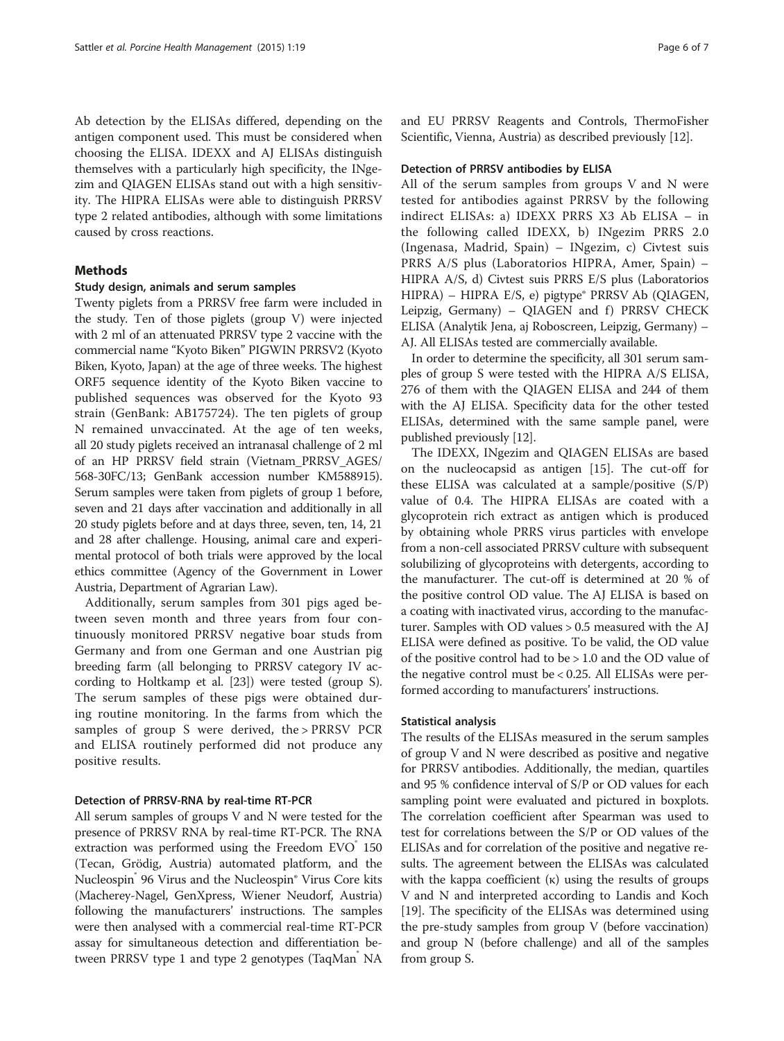Ab detection by the ELISAs differed, depending on the antigen component used. This must be considered when choosing the ELISA. IDEXX and AJ ELISAs distinguish themselves with a particularly high specificity, the INgezim and QIAGEN ELISAs stand out with a high sensitivity. The HIPRA ELISAs were able to distinguish PRRSV type 2 related antibodies, although with some limitations caused by cross reactions.

## Methods

### Study design, animals and serum samples

Twenty piglets from a PRRSV free farm were included in the study. Ten of those piglets (group V) were injected with 2 ml of an attenuated PRRSV type 2 vaccine with the commercial name "Kyoto Biken" PIGWIN PRRSV2 (Kyoto Biken, Kyoto, Japan) at the age of three weeks. The highest ORF5 sequence identity of the Kyoto Biken vaccine to published sequences was observed for the Kyoto 93 strain (GenBank: AB175724). The ten piglets of group N remained unvaccinated. At the age of ten weeks, all 20 study piglets received an intranasal challenge of 2 ml of an HP PRRSV field strain (Vietnam\_PRRSV\_AGES/ 568-30FC/13; GenBank accession number KM588915). Serum samples were taken from piglets of group 1 before, seven and 21 days after vaccination and additionally in all 20 study piglets before and at days three, seven, ten, 14, 21 and 28 after challenge. Housing, animal care and experimental protocol of both trials were approved by the local ethics committee (Agency of the Government in Lower Austria, Department of Agrarian Law).

Additionally, serum samples from 301 pigs aged between seven month and three years from four continuously monitored PRRSV negative boar studs from Germany and from one German and one Austrian pig breeding farm (all belonging to PRRSV category IV according to Holtkamp et al. [\[23\]](#page-6-0)) were tested (group S). The serum samples of these pigs were obtained during routine monitoring. In the farms from which the samples of group S were derived, the > PRRSV PCR and ELISA routinely performed did not produce any positive results.

### Detection of PRRSV-RNA by real-time RT-PCR

All serum samples of groups V and N were tested for the presence of PRRSV RNA by real-time RT-PCR. The RNA extraction was performed using the Freedom EVO 150 (Tecan, Grödig, Austria) automated platform, and the Nucleospin® 96 Virus and the Nucleospin® Virus Core kits (Macherey-Nagel, GenXpress, Wiener Neudorf, Austria) following the manufacturers' instructions. The samples were then analysed with a commercial real-time RT-PCR assay for simultaneous detection and differentiation between PRRSV type 1 and type 2 genotypes (TaqMan NA and EU PRRSV Reagents and Controls, ThermoFisher Scientific, Vienna, Austria) as described previously [[12](#page-6-0)].

#### Detection of PRRSV antibodies by ELISA

All of the serum samples from groups V and N were tested for antibodies against PRRSV by the following indirect ELISAs: a) IDEXX PRRS X3 Ab ELISA – in the following called IDEXX, b) INgezim PRRS 2.0 (Ingenasa, Madrid, Spain) – INgezim, c) Civtest suis PRRS A/S plus (Laboratorios HIPRA, Amer, Spain) – HIPRA A/S, d) Civtest suis PRRS E/S plus (Laboratorios HIPRA) – HIPRA E/S, e) pigtype® PRRSV Ab (QIAGEN, Leipzig, Germany) - QIAGEN and f) PRRSV CHECK ELISA (Analytik Jena, aj Roboscreen, Leipzig, Germany) – AJ. All ELISAs tested are commercially available.

In order to determine the specificity, all 301 serum samples of group S were tested with the HIPRA A/S ELISA, 276 of them with the QIAGEN ELISA and 244 of them with the AJ ELISA. Specificity data for the other tested ELISAs, determined with the same sample panel, were published previously [\[12](#page-6-0)].

The IDEXX, INgezim and QIAGEN ELISAs are based on the nucleocapsid as antigen [\[15\]](#page-6-0). The cut-off for these ELISA was calculated at a sample/positive (S/P) value of 0.4. The HIPRA ELISAs are coated with a glycoprotein rich extract as antigen which is produced by obtaining whole PRRS virus particles with envelope from a non-cell associated PRRSV culture with subsequent solubilizing of glycoproteins with detergents, according to the manufacturer. The cut-off is determined at 20 % of the positive control OD value. The AJ ELISA is based on a coating with inactivated virus, according to the manufacturer. Samples with OD values > 0.5 measured with the AJ ELISA were defined as positive. To be valid, the OD value of the positive control had to be > 1.0 and the OD value of the negative control must be < 0.25. All ELISAs were performed according to manufacturers' instructions.

### Statistical analysis

The results of the ELISAs measured in the serum samples of group V and N were described as positive and negative for PRRSV antibodies. Additionally, the median, quartiles and 95 % confidence interval of S/P or OD values for each sampling point were evaluated and pictured in boxplots. The correlation coefficient after Spearman was used to test for correlations between the S/P or OD values of the ELISAs and for correlation of the positive and negative results. The agreement between the ELISAs was calculated with the kappa coefficient  $(\kappa)$  using the results of groups V and N and interpreted according to Landis and Koch [[19](#page-6-0)]. The specificity of the ELISAs was determined using the pre-study samples from group V (before vaccination) and group N (before challenge) and all of the samples from group S.